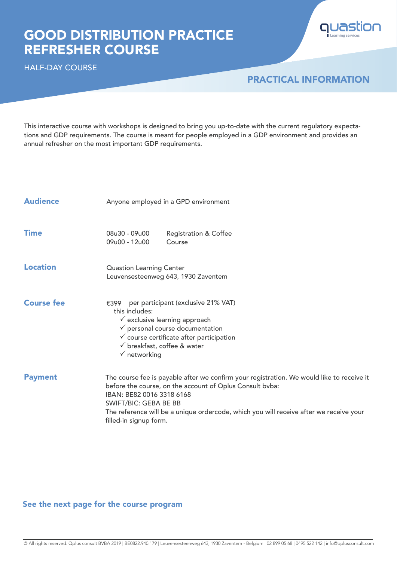# GOOD DISTRIBUTION PRACTICE REFRESHER COURSE





## PRACTICAL INFORMATION

This interactive course with workshops is designed to bring you up-to-date with the current regulatory expectations and GDP requirements. The course is meant for people employed in a GDP environment and provides an annual refresher on the most important GDP requirements.

| <b>Audience</b>   | Anyone employed in a GPD environment                                                                                                                                                                                                                                                                                                   |  |  |  |  |
|-------------------|----------------------------------------------------------------------------------------------------------------------------------------------------------------------------------------------------------------------------------------------------------------------------------------------------------------------------------------|--|--|--|--|
| <b>Time</b>       | 08u30 - 09u00<br><b>Registration &amp; Coffee</b><br>09u00 - 12u00<br>Course                                                                                                                                                                                                                                                           |  |  |  |  |
| <b>Location</b>   | <b>Quastion Learning Center</b><br>Leuvensesteenweg 643, 1930 Zaventem                                                                                                                                                                                                                                                                 |  |  |  |  |
| <b>Course fee</b> | per participant (exclusive 21% VAT)<br>€399<br>this includes:<br>$\checkmark$ exclusive learning approach<br>$\checkmark$ personal course documentation<br>$\checkmark$ course certificate after participation<br>$\checkmark$ breakfast, coffee & water<br>$\checkmark$ networking                                                    |  |  |  |  |
| <b>Payment</b>    | The course fee is payable after we confirm your registration. We would like to receive it<br>before the course, on the account of Oplus Consult bvba:<br>IBAN: BE82 0016 3318 6168<br><b>SWIFT/BIC: GEBA BE BB</b><br>The reference will be a unique ordercode, which you will receive after we receive your<br>filled-in signup form. |  |  |  |  |

### See the next page for the course program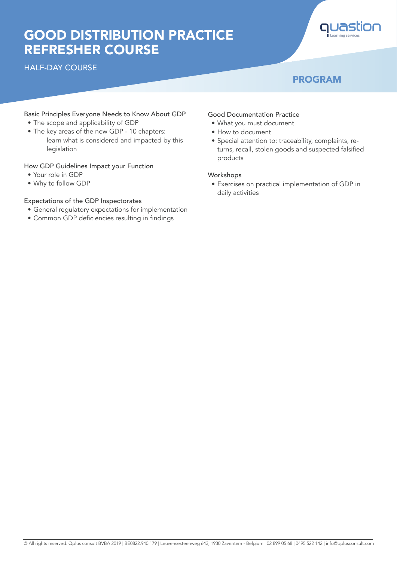# GOOD DISTRIBUTION PRACTICE REFRESHER COURSE

### HALF-DAY COURSE



### PROGRAM

#### Basic Principles Everyone Needs to Know About GDP

- The scope and applicability of GDP
- The key areas of the new GDP 10 chapters: learn what is considered and impacted by this legislation

#### How GDP Guidelines Impact your Function

- Your role in GDP
- Why to follow GDP

#### Expectations of the GDP Inspectorates

- General regulatory expectations for implementation
- Common GDP deficiencies resulting in findings

#### Good Documentation Practice

- What you must document
- How to document
- Special attention to: traceability, complaints, returns, recall, stolen goods and suspected falsified products

#### Workshops

• Exercises on practical implementation of GDP in daily activities